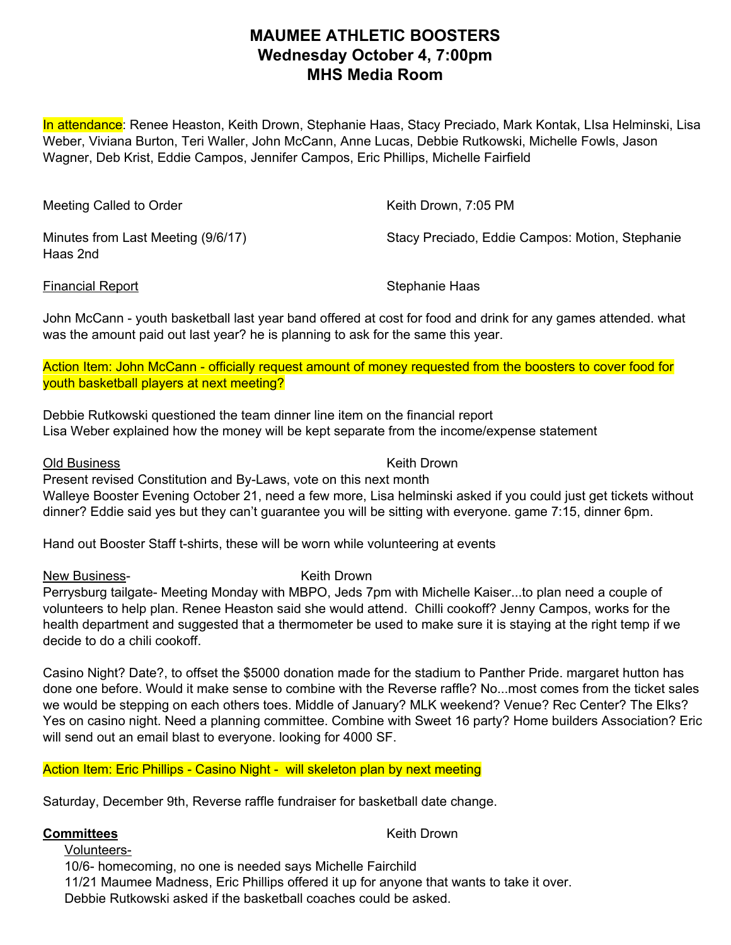## **MAUMEE ATHLETIC BOOSTERS Wednesday October 4, 7:00pm MHS Media Room**

In attendance: Renee Heaston, Keith Drown, Stephanie Haas, Stacy Preciado, Mark Kontak, LIsa Helminski, Lisa Weber, Viviana Burton, Teri Waller, John McCann, Anne Lucas, Debbie Rutkowski, Michelle Fowls, Jason Wagner, Deb Krist, Eddie Campos, Jennifer Campos, Eric Phillips, Michelle Fairfield

| Meeting Called to Order                        | Keith Drown, 7:05 PM                            |
|------------------------------------------------|-------------------------------------------------|
| Minutes from Last Meeting (9/6/17)<br>Haas 2nd | Stacy Preciado, Eddie Campos: Motion, Stephanie |

Financial Report New York Stephanie Haas

John McCann - youth basketball last year band offered at cost for food and drink for any games attended. what was the amount paid out last year? he is planning to ask for the same this year.

Action Item: John McCann - officially request amount of money requested from the boosters to cover food for youth basketball players at next meeting?

Debbie Rutkowski questioned the team dinner line item on the financial report Lisa Weber explained how the money will be kept separate from the income/expense statement

Old Business Keith Drown Present revised Constitution and By-Laws, vote on this next month Walleye Booster Evening October 21, need a few more, Lisa helminski asked if you could just get tickets without dinner? Eddie said yes but they can't guarantee you will be sitting with everyone. game 7:15, dinner 6pm.

Hand out Booster Staff t-shirts, these will be worn while volunteering at events

New Business-<br>
New Business-<br>
New Keith Drown

Perrysburg tailgate- Meeting Monday with MBPO, Jeds 7pm with Michelle Kaiser...to plan need a couple of volunteers to help plan. Renee Heaston said she would attend. Chilli cookoff? Jenny Campos, works for the health department and suggested that a thermometer be used to make sure it is staying at the right temp if we decide to do a chili cookoff.

Casino Night? Date?, to offset the \$5000 donation made for the stadium to Panther Pride. margaret hutton has done one before. Would it make sense to combine with the Reverse raffle? No...most comes from the ticket sales we would be stepping on each others toes. Middle of January? MLK weekend? Venue? Rec Center? The Elks? Yes on casino night. Need a planning committee. Combine with Sweet 16 party? Home builders Association? Eric will send out an email blast to everyone. looking for 4000 SF.

### Action Item: Eric Phillips - Casino Night - will skeleton plan by next meeting

Saturday, December 9th, Reverse raffle fundraiser for basketball date change.

#### **Committees** Keith Drown

Volunteers-10/6- homecoming, no one is needed says Michelle Fairchild 11/21 Maumee Madness, Eric Phillips offered it up for anyone that wants to take it over. Debbie Rutkowski asked if the basketball coaches could be asked.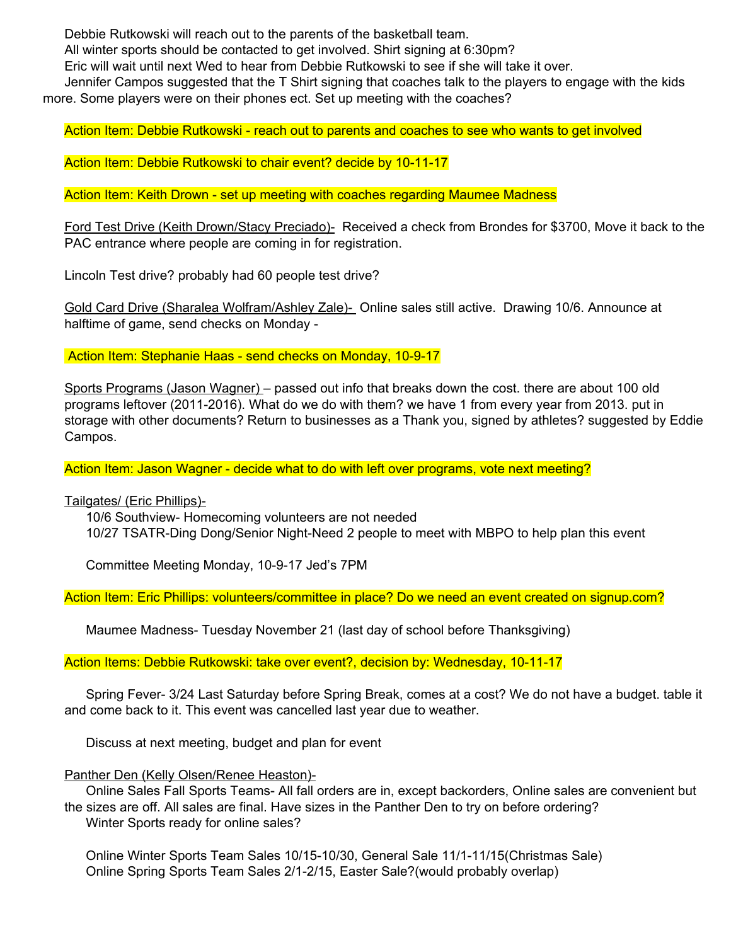Debbie Rutkowski will reach out to the parents of the basketball team.

All winter sports should be contacted to get involved. Shirt signing at 6:30pm?

Eric will wait until next Wed to hear from Debbie Rutkowski to see if she will take it over.

Jennifer Campos suggested that the T Shirt signing that coaches talk to the players to engage with the kids more. Some players were on their phones ect. Set up meeting with the coaches?

Action Item: Debbie Rutkowski - reach out to parents and coaches to see who wants to get involved

Action Item: Debbie Rutkowski to chair event? decide by 10-11-17

Action Item: Keith Drown - set up meeting with coaches regarding Maumee Madness

Ford Test Drive (Keith Drown/Stacy Preciado)- Received a check from Brondes for \$3700, Move it back to the PAC entrance where people are coming in for registration.

Lincoln Test drive? probably had 60 people test drive?

Gold Card Drive (Sharalea Wolfram/Ashley Zale)- Online sales still active. Drawing 10/6. Announce at halftime of game, send checks on Monday -

Action Item: Stephanie Haas - send checks on Monday, 10-9-17

Sports Programs (Jason Wagner) – passed out info that breaks down the cost. there are about 100 old programs leftover (2011-2016). What do we do with them? we have 1 from every year from 2013. put in storage with other documents? Return to businesses as a Thank you, signed by athletes? suggested by Eddie Campos.

Action Item: Jason Wagner - decide what to do with left over programs, vote next meeting?

Tailgates/ (Eric Phillips)-

10/6 Southview- Homecoming volunteers are not needed 10/27 TSATR-Ding Dong/Senior Night-Need 2 people to meet with MBPO to help plan this event

Committee Meeting Monday, 10-9-17 Jed's 7PM

Action Item: Eric Phillips: volunteers/committee in place? Do we need an event created on signup.com?

Maumee Madness- Tuesday November 21 (last day of school before Thanksgiving)

Action Items: Debbie Rutkowski: take over event?, decision by: Wednesday, 10-11-17

Spring Fever- 3/24 Last Saturday before Spring Break, comes at a cost? We do not have a budget. table it and come back to it. This event was cancelled last year due to weather.

Discuss at next meeting, budget and plan for event

Panther Den (Kelly Olsen/Renee Heaston)-

Online Sales Fall Sports Teams- All fall orders are in, except backorders, Online sales are convenient but the sizes are off. All sales are final. Have sizes in the Panther Den to try on before ordering? Winter Sports ready for online sales?

Online Winter Sports Team Sales 10/15-10/30, General Sale 11/1-11/15(Christmas Sale) Online Spring Sports Team Sales 2/1-2/15, Easter Sale?(would probably overlap)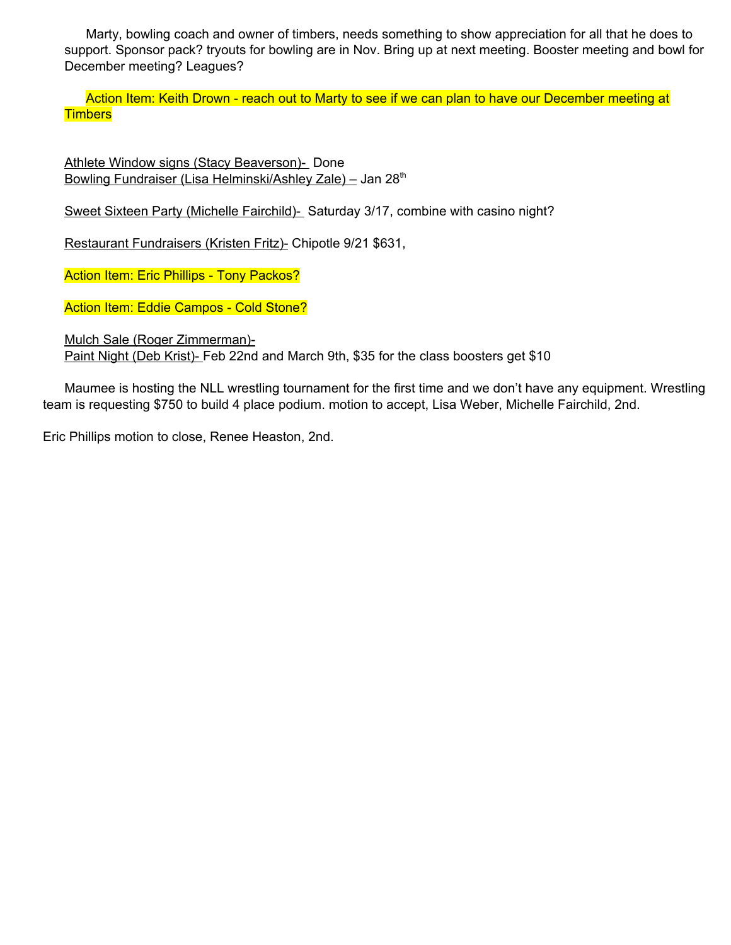Marty, bowling coach and owner of timbers, needs something to show appreciation for all that he does to support. Sponsor pack? tryouts for bowling are in Nov. Bring up at next meeting. Booster meeting and bowl for December meeting? Leagues?

Action Item: Keith Drown - reach out to Marty to see if we can plan to have our December meeting at **Timbers** 

Athlete Window signs (Stacy Beaverson)- Done Bowling Fundraiser (Lisa Helminski/Ashley Zale) - Jan 28<sup>th</sup>

Sweet Sixteen Party (Michelle Fairchild)- Saturday 3/17, combine with casino night?

Restaurant Fundraisers (Kristen Fritz)- Chipotle 9/21 \$631,

Action Item: Eric Phillips - Tony Packos?

Action Item: Eddie Campos - Cold Stone?

Mulch Sale (Roger Zimmerman)-

Paint Night (Deb Krist)- Feb 22nd and March 9th, \$35 for the class boosters get \$10

Maumee is hosting the NLL wrestling tournament for the first time and we don't have any equipment. Wrestling team is requesting \$750 to build 4 place podium. motion to accept, Lisa Weber, Michelle Fairchild, 2nd.

Eric Phillips motion to close, Renee Heaston, 2nd.